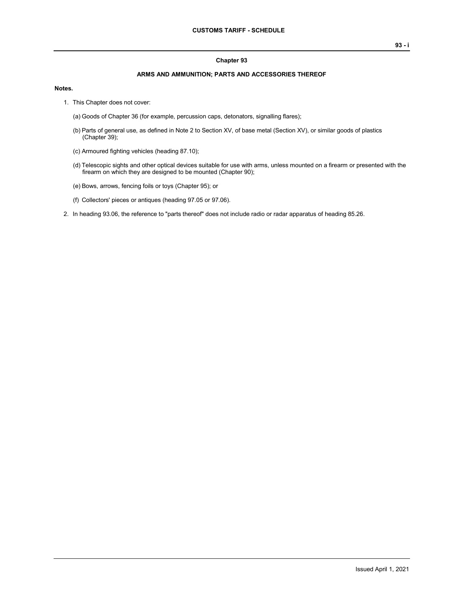## **Chapter 93**

## **ARMS AND AMMUNITION; PARTS AND ACCESSORIES THEREOF**

## **Notes.**

- 1. This Chapter does not cover:
	- (a) Goods of Chapter 36 (for example, percussion caps, detonators, signalling flares);
	- (b) Parts of general use, as defined in Note 2 to Section XV, of base metal (Section XV), or similar goods of plastics (Chapter 39);
	- (c) Armoured fighting vehicles (heading 87.10);
	- (d) Telescopic sights and other optical devices suitable for use with arms, unless mounted on a firearm or presented with the firearm on which they are designed to be mounted (Chapter 90);
	- (e) Bows, arrows, fencing foils or toys (Chapter 95); or
	- (f) Collectors' pieces or antiques (heading 97.05 or 97.06).
- 2. In heading 93.06, the reference to "parts thereof" does not include radio or radar apparatus of heading 85.26.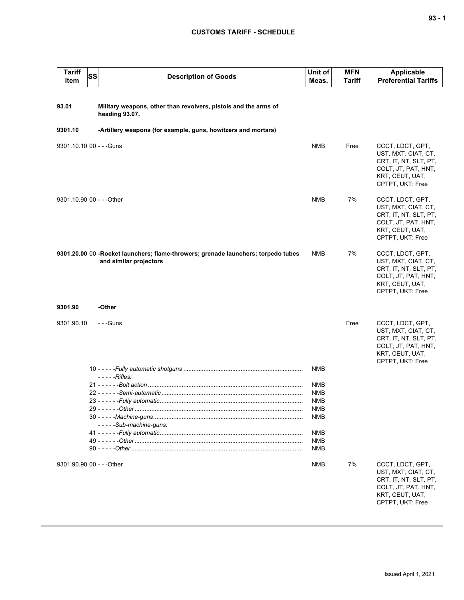## **CUSTOMS TARIFF - SCHEDULE**

| <b>Tariff</b><br>Item     | SS | <b>Description of Goods</b>                                                                                 | Unit of<br>Meas.         | <b>MFN</b><br><b>Tariff</b> | <b>Applicable</b><br><b>Preferential Tariffs</b>                                                                               |
|---------------------------|----|-------------------------------------------------------------------------------------------------------------|--------------------------|-----------------------------|--------------------------------------------------------------------------------------------------------------------------------|
|                           |    |                                                                                                             |                          |                             |                                                                                                                                |
| 93.01                     |    | Military weapons, other than revolvers, pistols and the arms of<br>heading 93.07.                           |                          |                             |                                                                                                                                |
| 9301.10                   |    | -Artillery weapons (for example, guns, howitzers and mortars)                                               |                          |                             |                                                                                                                                |
| 9301.10.10 00 - - - Guns  |    |                                                                                                             | <b>NMB</b>               | Free                        | CCCT, LDCT, GPT,<br>UST, MXT, CIAT, CT,<br>CRT, IT, NT, SLT, PT,<br>COLT, JT, PAT, HNT,<br>KRT, CEUT, UAT,<br>CPTPT, UKT: Free |
| 9301.10.90 00 - - - Other |    |                                                                                                             | <b>NMB</b>               | 7%                          | CCCT, LDCT, GPT,<br>UST, MXT, CIAT, CT,<br>CRT, IT, NT, SLT, PT,<br>COLT, JT, PAT, HNT,<br>KRT, CEUT, UAT,<br>CPTPT, UKT: Free |
|                           |    | 9301.20.00 00 -Rocket launchers; flame-throwers; grenade launchers; torpedo tubes<br>and similar projectors | NMB                      | 7%                          | CCCT, LDCT, GPT,<br>UST, MXT, CIAT, CT,<br>CRT, IT, NT, SLT, PT,<br>COLT, JT, PAT, HNT,<br>KRT, CEUT, UAT,<br>CPTPT, UKT: Free |
| 9301.90                   |    | -Other                                                                                                      |                          |                             |                                                                                                                                |
| 9301.90.10                |    | $- -$ Guns                                                                                                  |                          | Free                        | CCCT, LDCT, GPT,<br>UST, MXT, CIAT, CT,<br>CRT, IT, NT, SLT, PT,<br>COLT, JT, PAT, HNT,<br>KRT, CEUT, UAT,<br>CPTPT, UKT: Free |
|                           |    | $---Rifies:$                                                                                                | <b>NMB</b>               |                             |                                                                                                                                |
|                           |    |                                                                                                             | NMB                      |                             |                                                                                                                                |
|                           |    |                                                                                                             | NMB                      |                             |                                                                                                                                |
|                           |    |                                                                                                             | <b>NMB</b><br><b>NMB</b> |                             |                                                                                                                                |
|                           |    |                                                                                                             | <b>NMB</b>               |                             |                                                                                                                                |
|                           |    | -----Sub-machine-guns:                                                                                      |                          |                             |                                                                                                                                |
|                           |    |                                                                                                             | <b>NMB</b>               |                             |                                                                                                                                |
|                           |    |                                                                                                             | <b>NMB</b><br><b>NMB</b> |                             |                                                                                                                                |
|                           |    |                                                                                                             |                          |                             |                                                                                                                                |
| 9301.90.90 00 - - - Other |    |                                                                                                             | NMB                      | 7%                          | CCCT, LDCT, GPT,<br>UST, MXT, CIAT, CT,<br>CRT, IT, NT, SLT, PT,<br>COLT, JT, PAT, HNT,<br>KRT, CEUT, UAT,<br>CPTPT, UKT: Free |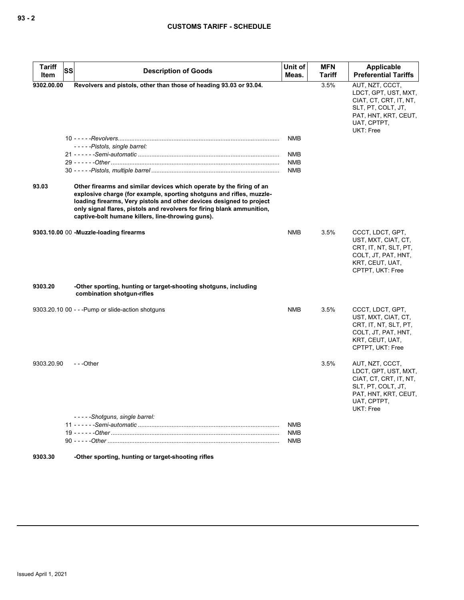| Tariff<br>Item | SS | <b>Description of Goods</b>                                                                                                                                                                                                                                                                                                                         | Unit of<br>Meas.         | <b>MFN</b><br><b>Tariff</b> | Applicable<br><b>Preferential Tariffs</b>                                                                                                   |
|----------------|----|-----------------------------------------------------------------------------------------------------------------------------------------------------------------------------------------------------------------------------------------------------------------------------------------------------------------------------------------------------|--------------------------|-----------------------------|---------------------------------------------------------------------------------------------------------------------------------------------|
| 9302.00.00     |    | Revolvers and pistols, other than those of heading 93.03 or 93.04.                                                                                                                                                                                                                                                                                  |                          | 3.5%                        | AUT, NZT, CCCT,<br>LDCT, GPT, UST, MXT,<br>CIAT, CT, CRT, IT, NT,<br>SLT, PT, COLT, JT,<br>PAT, HNT, KRT, CEUT,<br>UAT, CPTPT,<br>UKT: Free |
|                |    |                                                                                                                                                                                                                                                                                                                                                     | <b>NMB</b>               |                             |                                                                                                                                             |
|                |    | -----Pistols, single barrel:                                                                                                                                                                                                                                                                                                                        | <b>NMB</b>               |                             |                                                                                                                                             |
|                |    |                                                                                                                                                                                                                                                                                                                                                     | <b>NMB</b>               |                             |                                                                                                                                             |
|                |    |                                                                                                                                                                                                                                                                                                                                                     | NMB                      |                             |                                                                                                                                             |
| 93.03          |    | Other firearms and similar devices which operate by the firing of an<br>explosive charge (for example, sporting shotguns and rifles, muzzle-<br>loading firearms, Very pistols and other devices designed to project<br>only signal flares, pistols and revolvers for firing blank ammunition,<br>captive-bolt humane killers, line-throwing guns). |                          |                             |                                                                                                                                             |
|                |    | 9303.10.00 00 -Muzzle-loading firearms                                                                                                                                                                                                                                                                                                              | NMB                      | 3.5%                        | CCCT, LDCT, GPT,<br>UST, MXT, CIAT, CT,<br>CRT, IT, NT, SLT, PT,<br>COLT, JT, PAT, HNT,<br>KRT, CEUT, UAT,<br>CPTPT, UKT: Free              |
| 9303.20        |    | -Other sporting, hunting or target-shooting shotguns, including<br>combination shotgun-rifles                                                                                                                                                                                                                                                       |                          |                             |                                                                                                                                             |
|                |    | 9303.20.10 00 - - - Pump or slide-action shotguns                                                                                                                                                                                                                                                                                                   | <b>NMB</b>               | 3.5%                        | CCCT, LDCT, GPT,<br>UST, MXT, CIAT, CT,<br>CRT, IT, NT, SLT, PT,<br>COLT, JT, PAT, HNT,<br>KRT, CEUT, UAT,<br>CPTPT, UKT: Free              |
| 9303.20.90     |    | $- -$ Other                                                                                                                                                                                                                                                                                                                                         |                          | 3.5%                        | AUT, NZT, CCCT,<br>LDCT, GPT, UST, MXT,<br>CIAT, CT, CRT, IT, NT,<br>SLT, PT, COLT, JT,<br>PAT, HNT, KRT, CEUT,<br>UAT, CPTPT,<br>UKT: Free |
|                |    | -----Shotguns, single barrel:                                                                                                                                                                                                                                                                                                                       |                          |                             |                                                                                                                                             |
|                |    |                                                                                                                                                                                                                                                                                                                                                     | <b>NMB</b>               |                             |                                                                                                                                             |
|                |    |                                                                                                                                                                                                                                                                                                                                                     | <b>NMB</b><br><b>NMB</b> |                             |                                                                                                                                             |
|                |    |                                                                                                                                                                                                                                                                                                                                                     |                          |                             |                                                                                                                                             |

**9303.30 -Other sporting, hunting or target-shooting rifles**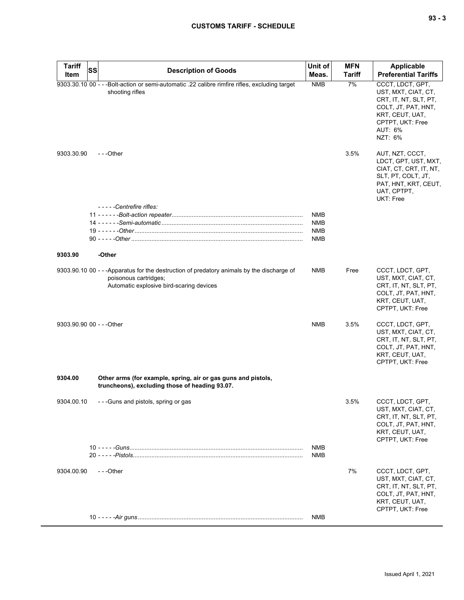| ×<br>× | $\overline{\phantom{a}}$ |
|--------|--------------------------|
|--------|--------------------------|

| <b>Tariff</b>             | SS<br><b>Description of Goods</b>                                                                                                                              | Unit of                  | <b>MFN</b>    | <b>Applicable</b>                                                                                                                                    |
|---------------------------|----------------------------------------------------------------------------------------------------------------------------------------------------------------|--------------------------|---------------|------------------------------------------------------------------------------------------------------------------------------------------------------|
| Item                      |                                                                                                                                                                | Meas.                    | <b>Tariff</b> | <b>Preferential Tariffs</b>                                                                                                                          |
|                           | 9303.30.10 00 - - - Bolt-action or semi-automatic .22 calibre rimfire rifles, excluding target<br>shooting rifles                                              | <b>NMB</b>               | 7%            | CCCT, LDCT, GPT,<br>UST, MXT, CIAT, CT,<br>CRT, IT, NT, SLT, PT,<br>COLT, JT, PAT, HNT,<br>KRT, CEUT, UAT,<br>CPTPT, UKT: Free<br>AUT: 6%<br>NZT: 6% |
| 9303.30.90                | $- -$ Other                                                                                                                                                    |                          | 3.5%          | AUT, NZT, CCCT,<br>LDCT, GPT, UST, MXT,<br>CIAT, CT, CRT, IT, NT,<br>SLT, PT, COLT, JT,<br>PAT, HNT, KRT, CEUT,<br>UAT, CPTPT,<br>UKT: Free          |
|                           | -----Centrefire rifles:                                                                                                                                        | <b>NMB</b>               |               |                                                                                                                                                      |
|                           |                                                                                                                                                                | <b>NMB</b>               |               |                                                                                                                                                      |
|                           |                                                                                                                                                                | <b>NMB</b>               |               |                                                                                                                                                      |
|                           |                                                                                                                                                                | <b>NMB</b>               |               |                                                                                                                                                      |
| 9303.90                   | -Other                                                                                                                                                         |                          |               |                                                                                                                                                      |
|                           | 9303.90.10 00 - - -Apparatus for the destruction of predatory animals by the discharge of<br>poisonous cartridges;<br>Automatic explosive bird-scaring devices | <b>NMB</b>               | Free          | CCCT, LDCT, GPT,<br>UST, MXT, CIAT, CT,<br>CRT, IT, NT, SLT, PT,<br>COLT, JT, PAT, HNT,<br>KRT, CEUT, UAT,<br>CPTPT, UKT: Free                       |
| 9303.90.90 00 - - - Other |                                                                                                                                                                | <b>NMB</b>               | 3.5%          | CCCT, LDCT, GPT,<br>UST, MXT, CIAT, CT,<br>CRT, IT, NT, SLT, PT,<br>COLT, JT, PAT, HNT,<br>KRT, CEUT, UAT,<br>CPTPT, UKT: Free                       |
| 9304.00                   | Other arms (for example, spring, air or gas guns and pistols,<br>truncheons), excluding those of heading 93.07.                                                |                          |               |                                                                                                                                                      |
| 9304.00.10                | ---Guns and pistols, spring or gas                                                                                                                             |                          | 3.5%          | CCCT, LDCT, GPT,<br>UST, MXT, CIAT, CT,<br>CRT, IT, NT, SLT, PT,<br>COLT, JT, PAT, HNT,<br>KRT, CEUT, UAT,<br>CPTPT, UKT: Free                       |
|                           |                                                                                                                                                                | <b>NMB</b><br><b>NMB</b> |               |                                                                                                                                                      |
| 9304.00.90                | ---Other                                                                                                                                                       |                          | 7%            | CCCT, LDCT, GPT,<br>UST, MXT, CIAT, CT,<br>CRT, IT, NT, SLT, PT,<br>COLT, JT, PAT, HNT,<br>KRT, CEUT, UAT,<br>CPTPT, UKT: Free                       |
|                           |                                                                                                                                                                | <b>NMB</b>               |               |                                                                                                                                                      |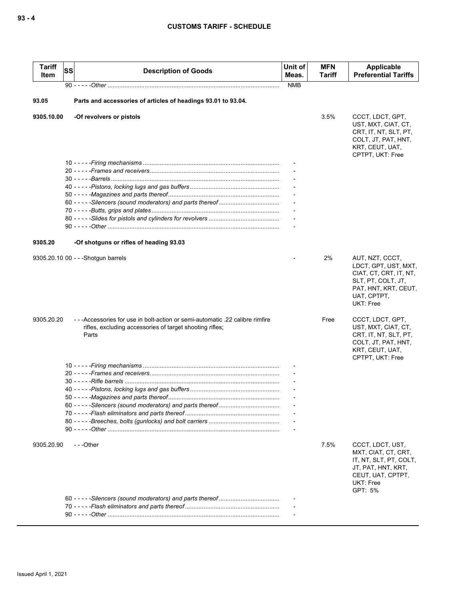| <b>Tariff</b><br>Item | SS | <b>Description of Goods</b>                                                                                                                      | Unit of<br>Meas. | <b>MFN</b><br>Tariff | Applicable<br><b>Preferential Tariffs</b>                                                                                                   |
|-----------------------|----|--------------------------------------------------------------------------------------------------------------------------------------------------|------------------|----------------------|---------------------------------------------------------------------------------------------------------------------------------------------|
|                       |    |                                                                                                                                                  | <b>NMB</b>       |                      |                                                                                                                                             |
| 93.05                 |    | Parts and accessories of articles of headings 93.01 to 93.04.                                                                                    |                  |                      |                                                                                                                                             |
| 9305.10.00            |    | -Of revolvers or pistols                                                                                                                         |                  | 3.5%                 | CCCT, LDCT, GPT,<br>UST, MXT, CIAT, CT,<br>CRT, IT, NT, SLT, PT,<br>COLT, JT, PAT, HNT,<br>KRT, CEUT, UAT,<br>CPTPT, UKT: Free              |
|                       |    |                                                                                                                                                  |                  |                      |                                                                                                                                             |
|                       |    |                                                                                                                                                  |                  |                      |                                                                                                                                             |
|                       |    |                                                                                                                                                  |                  |                      |                                                                                                                                             |
|                       |    |                                                                                                                                                  |                  |                      |                                                                                                                                             |
|                       |    |                                                                                                                                                  |                  |                      |                                                                                                                                             |
|                       |    |                                                                                                                                                  |                  |                      |                                                                                                                                             |
|                       |    |                                                                                                                                                  |                  |                      |                                                                                                                                             |
|                       |    |                                                                                                                                                  |                  |                      |                                                                                                                                             |
| 9305.20               |    | -Of shotguns or rifles of heading 93.03                                                                                                          |                  |                      |                                                                                                                                             |
|                       |    |                                                                                                                                                  |                  | 2%                   |                                                                                                                                             |
|                       |    | 9305.20.10 00 - - - Shotgun barrels                                                                                                              |                  |                      | AUT, NZT, CCCT,<br>LDCT, GPT, UST, MXT,<br>CIAT, CT, CRT, IT, NT,<br>SLT, PT, COLT, JT,<br>PAT, HNT, KRT, CEUT,<br>UAT, CPTPT,<br>UKT: Free |
| 9305.20.20            |    | ---Accessories for use in bolt-action or semi-automatic .22 calibre rimfire<br>rifles, excluding accessories of target shooting rifles;<br>Parts |                  | Free                 | CCCT, LDCT, GPT,<br>UST, MXT, CIAT, CT,<br>CRT, IT, NT, SLT, PT,<br>COLT, JT, PAT, HNT,<br>KRT, CEUT, UAT,                                  |
|                       |    |                                                                                                                                                  |                  |                      | CPTPT, UKT: Free                                                                                                                            |
|                       |    |                                                                                                                                                  |                  |                      |                                                                                                                                             |
|                       |    |                                                                                                                                                  |                  |                      |                                                                                                                                             |
|                       |    |                                                                                                                                                  |                  |                      |                                                                                                                                             |
|                       |    |                                                                                                                                                  |                  |                      |                                                                                                                                             |
|                       |    |                                                                                                                                                  |                  |                      |                                                                                                                                             |
|                       |    |                                                                                                                                                  |                  |                      |                                                                                                                                             |
|                       |    |                                                                                                                                                  |                  |                      |                                                                                                                                             |
|                       |    |                                                                                                                                                  |                  |                      |                                                                                                                                             |
| 9305.20.90            |    | ---Other                                                                                                                                         |                  | 7.5%                 | CCCT, LDCT, UST,<br>MXT, CIAT, CT, CRT,<br>IT, NT, SLT, PT, COLT,<br>JT, PAT, HNT, KRT,<br>CEUT, UAT, CPTPT,<br>UKT: Free<br>GPT: 5%        |
|                       |    |                                                                                                                                                  |                  |                      |                                                                                                                                             |
|                       |    |                                                                                                                                                  |                  |                      |                                                                                                                                             |
|                       |    |                                                                                                                                                  |                  |                      |                                                                                                                                             |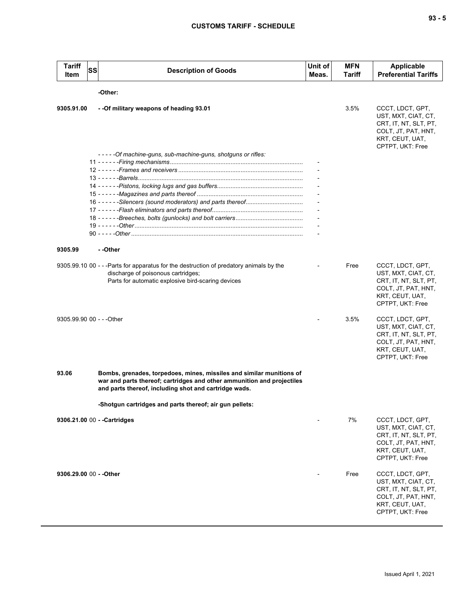| $\sim$<br>$\overline{\phantom{a}}$ |  | ×<br>۰. |
|------------------------------------|--|---------|
|------------------------------------|--|---------|

| <b>Tariff</b><br>Item     | <b>SS</b> | <b>Description of Goods</b>                                                                                                                                                                             | Unit of<br>Meas. | <b>MFN</b><br>Tariff | Applicable<br><b>Preferential Tariffs</b>                                                                                      |  |  |  |
|---------------------------|-----------|---------------------------------------------------------------------------------------------------------------------------------------------------------------------------------------------------------|------------------|----------------------|--------------------------------------------------------------------------------------------------------------------------------|--|--|--|
|                           | -Other:   |                                                                                                                                                                                                         |                  |                      |                                                                                                                                |  |  |  |
| 9305.91.00                |           | - - Of military weapons of heading 93.01                                                                                                                                                                |                  | 3.5%                 | CCCT, LDCT, GPT,<br>UST, MXT, CIAT, CT,<br>CRT, IT, NT, SLT, PT,<br>COLT, JT, PAT, HNT,<br>KRT, CEUT, UAT,<br>CPTPT, UKT: Free |  |  |  |
|                           |           | - - - - - Of machine-guns, sub-machine-guns, shotguns or rifles:                                                                                                                                        |                  |                      |                                                                                                                                |  |  |  |
|                           |           |                                                                                                                                                                                                         |                  |                      |                                                                                                                                |  |  |  |
|                           |           |                                                                                                                                                                                                         |                  |                      |                                                                                                                                |  |  |  |
|                           |           |                                                                                                                                                                                                         |                  |                      |                                                                                                                                |  |  |  |
|                           |           |                                                                                                                                                                                                         |                  |                      |                                                                                                                                |  |  |  |
|                           |           |                                                                                                                                                                                                         |                  |                      |                                                                                                                                |  |  |  |
|                           |           |                                                                                                                                                                                                         |                  |                      |                                                                                                                                |  |  |  |
|                           |           |                                                                                                                                                                                                         |                  |                      |                                                                                                                                |  |  |  |
|                           |           |                                                                                                                                                                                                         |                  |                      |                                                                                                                                |  |  |  |
|                           |           |                                                                                                                                                                                                         |                  |                      |                                                                                                                                |  |  |  |
| 9305.99                   |           | - -Other                                                                                                                                                                                                |                  |                      |                                                                                                                                |  |  |  |
|                           |           | 9305.99.10 00 - - - Parts for apparatus for the destruction of predatory animals by the<br>discharge of poisonous cartridges;<br>Parts for automatic explosive bird-scaring devices                     |                  | Free                 | CCCT, LDCT, GPT,<br>UST, MXT, CIAT, CT,<br>CRT, IT, NT, SLT, PT,<br>COLT, JT, PAT, HNT,<br>KRT, CEUT, UAT,<br>CPTPT, UKT: Free |  |  |  |
| 9305.99.90 00 - - - Other |           |                                                                                                                                                                                                         |                  | 3.5%                 | CCCT, LDCT, GPT,<br>UST, MXT, CIAT, CT,<br>CRT, IT, NT, SLT, PT,<br>COLT, JT, PAT, HNT,<br>KRT, CEUT, UAT,<br>CPTPT, UKT: Free |  |  |  |
| 93.06                     |           | Bombs, grenades, torpedoes, mines, missiles and similar munitions of<br>war and parts thereof; cartridges and other ammunition and projectiles<br>and parts thereof, including shot and cartridge wads. |                  |                      |                                                                                                                                |  |  |  |
|                           |           | -Shotgun cartridges and parts thereof; air gun pellets:                                                                                                                                                 |                  |                      |                                                                                                                                |  |  |  |
|                           |           | 9306.21.00 00 - - Cartridges                                                                                                                                                                            |                  | 7%                   | CCCT, LDCT, GPT,                                                                                                               |  |  |  |
|                           |           |                                                                                                                                                                                                         |                  |                      | UST, MXT, CIAT, CT,<br>CRT, IT, NT, SLT, PT,<br>COLT, JT, PAT, HNT,<br>KRT, CEUT, UAT,<br>CPTPT, UKT: Free                     |  |  |  |
| 9306.29.00 00 - - Other   |           |                                                                                                                                                                                                         |                  | Free                 | CCCT, LDCT, GPT,<br>UST, MXT, CIAT, CT,<br>CRT, IT, NT, SLT, PT,<br>COLT, JT, PAT, HNT,<br>KRT, CEUT, UAT,<br>CPTPT, UKT: Free |  |  |  |